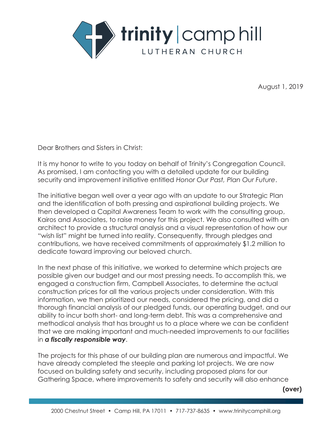

August 1, 2019

Dear Brothers and Sisters in Christ:

It is my honor to write to you today on behalf of Trinity's Congregation Council. As promised, I am contacting you with a detailed update for our building security and improvement initiative entitled *Honor Our Past, Plan Our Future*.

The initiative began well over a year ago with an update to our Strategic Plan and the identification of both pressing and aspirational building projects. We then developed a Capital Awareness Team to work with the consulting group, Kairos and Associates, to raise money for this project. We also consulted with an architect to provide a structural analysis and a visual representation of how our "wish list" might be turned into reality. Consequently, through pledges and contributions, we have received commitments of approximately \$1.2 million to dedicate toward improving our beloved church.

In the next phase of this initiative, we worked to determine which projects are possible given our budget and our most pressing needs. To accomplish this, we engaged a construction firm, Campbell Associates, to determine the actual construction prices for all the various projects under consideration. With this information, we then prioritized our needs, considered the pricing, and did a thorough financial analysis of our pledged funds, our operating budget, and our ability to incur both short- and long-term debt. This was a comprehensive and methodical analysis that has brought us to a place where we can be confident that we are making important and much-needed improvements to our facilities in *a fiscally responsible way*.

The projects for this phase of our building plan are numerous and impactful. We have already completed the steeple and parking lot projects. We are now focused on building safety and security, including proposed plans for our Gathering Space, where improvements to safety and security will also enhance

**(over)**

summary of the proposed projects. Although this is not an itemized and itemized and itemized and itemized and exhaustive list, it should provide you with a meaningful summary of the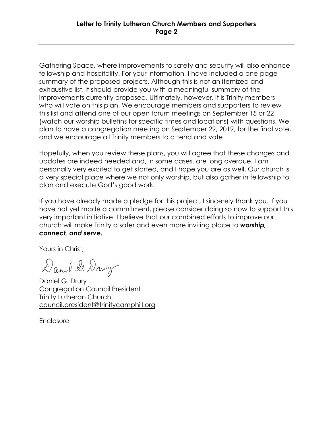The projects for this phase of our building plan are numerous and impactful. We

Gathering Space, where improvements to safety and security will also enhance fellowship and hospitality. For your information, I have included a one-page summary of the proposed projects. Although this is not an itemized and exhaustive list, it should provide you with a meaningful summary of the improvements currently proposed. Ultimately, however, it is Trinity members this list and attend one of our open forum meetings on September 15 or 22 (watch our worship bulletins for specific times and locations) with questions. We plan to have a congregation meeting on September 29, 2019, for the final vote, and we encourage all Trinity members to attend and vote. who will vote on this plan. We encourage members and supporters to review

updates are indeed needed and, in some cases, are long overdue. I am personally very excited to get started, and I hope you are as well. Our church is a very special place where we not only worship, but also gather in fellowship to plan and execute God's good work. **In all and execute God's** good work. Hopefully, when you review these plans, you will agree that these changes and

have not yet made a commitment, please consider doing so now to support this If you have already made a pledge for this project, I sincerely thank you. If you very important initiative. I believe that our combined efforts to improve our church will make Trinity a safer and even more inviting place to *worship, connect, and serve***.** 

Yours in Christ,

 $T$  $(\lambda)$  council.  $(\lambda)$  account

Daniel G. Drury Congregation Council President Trinity Lutheran Church council.president@trinitycamphill.org

**Enclosure**